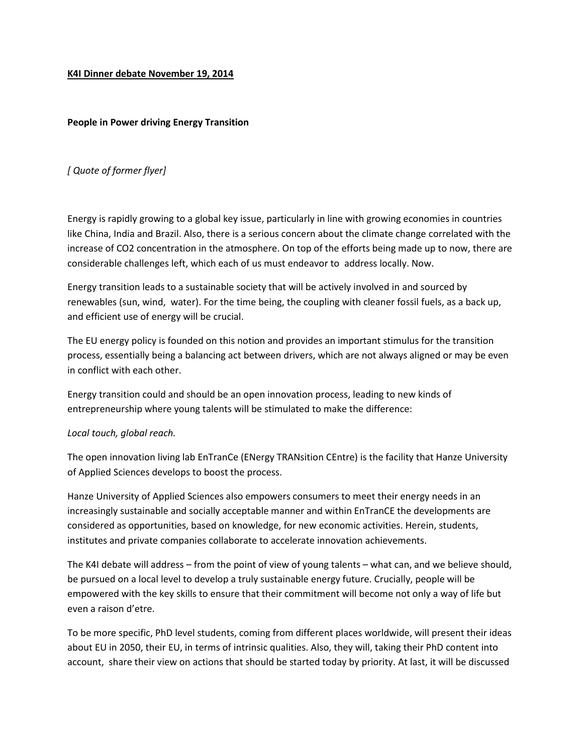## **K4I Dinner debate November 19, 2014**

## **People in Power driving Energy Transition**

## *[ Quote of former flyer]*

Energy is rapidly growing to a global key issue, particularly in line with growing economies in countries like China, India and Brazil. Also, there is a serious concern about the climate change correlated with the increase of CO2 concentration in the atmosphere. On top of the efforts being made up to now, there are considerable challenges left, which each of us must endeavor to address locally. Now.

Energy transition leads to a sustainable society that will be actively involved in and sourced by renewables (sun, wind, water). For the time being, the coupling with cleaner fossil fuels, as a back up, and efficient use of energy will be crucial.

The EU energy policy is founded on this notion and provides an important stimulus for the transition process, essentially being a balancing act between drivers, which are not always aligned or may be even in conflict with each other.

Energy transition could and should be an open innovation process, leading to new kinds of entrepreneurship where young talents will be stimulated to make the difference:

## *Local touch, global reach.*

The open innovation living lab EnTranCe (ENergy TRANsition CEntre) is the facility that Hanze University of Applied Sciences develops to boost the process.

Hanze University of Applied Sciences also empowers consumers to meet their energy needs in an increasingly sustainable and socially acceptable manner and within EnTranCE the developments are considered as opportunities, based on knowledge, for new economic activities. Herein, students, institutes and private companies collaborate to accelerate innovation achievements.

The K4I debate will address – from the point of view of young talents – what can, and we believe should, be pursued on a local level to develop a truly sustainable energy future. Crucially, people will be empowered with the key skills to ensure that their commitment will become not only a way of life but even a raison d'etre.

To be more specific, PhD level students, coming from different places worldwide, will present their ideas about EU in 2050, their EU, in terms of intrinsic qualities. Also, they will, taking their PhD content into account, share their view on actions that should be started today by priority. At last, it will be discussed